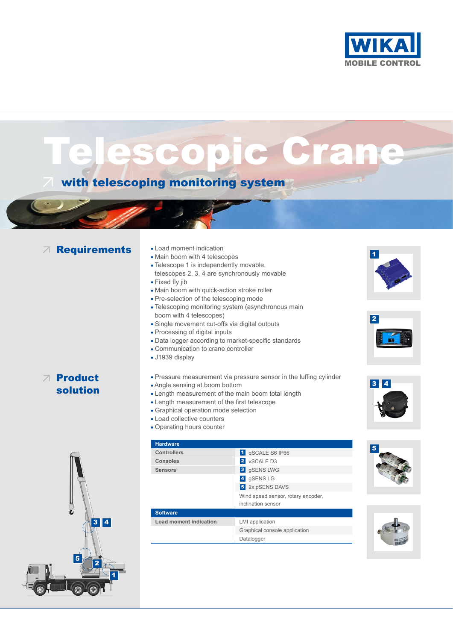

ascopic Crane

# with telescoping monitoring system

# **Requirements** . Load moment indication

- 
- Main boom with 4 telescopes
- Telescope 1 is independently movable, telescopes 2, 3, 4 are synchronously movable
- Fixed fly jib
- Main boom with quick-action stroke roller
- Pre-selection of the telescoping mode
- Telescoping monitoring system (asynchronous main boom with 4 telescopes)
- Single movement cut-offs via digital outputs
- Processing of digital inputs
- Data logger according to market-specific standards
- Communication to crane controller
- J1939 display

### Product solution

- Pressure measurement via pressure sensor in the luffing cylinder Angle sensing at boom bottom Length measurement of the main boom total length
- Length measurement of the first telescope
- Graphical operation mode selection
- Load collective counters
- Operating hours counter



#### **Hardware**